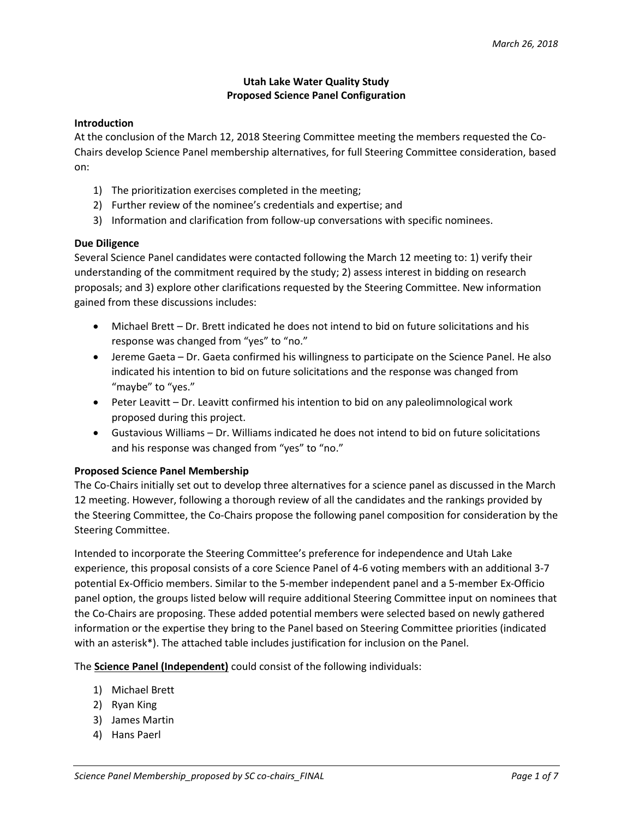# **Utah Lake Water Quality Study Proposed Science Panel Configuration**

### **Introduction**

At the conclusion of the March 12, 2018 Steering Committee meeting the members requested the Co-Chairs develop Science Panel membership alternatives, for full Steering Committee consideration, based on:

- 1) The prioritization exercises completed in the meeting;
- 2) Further review of the nominee's credentials and expertise; and
- 3) Information and clarification from follow-up conversations with specific nominees.

### **Due Diligence**

Several Science Panel candidates were contacted following the March 12 meeting to: 1) verify their understanding of the commitment required by the study; 2) assess interest in bidding on research proposals; and 3) explore other clarifications requested by the Steering Committee. New information gained from these discussions includes:

- Michael Brett Dr. Brett indicated he does not intend to bid on future solicitations and his response was changed from "yes" to "no."
- Jereme Gaeta Dr. Gaeta confirmed his willingness to participate on the Science Panel. He also indicated his intention to bid on future solicitations and the response was changed from "maybe" to "yes."
- Peter Leavitt Dr. Leavitt confirmed his intention to bid on any paleolimnological work proposed during this project.
- Gustavious Williams Dr. Williams indicated he does not intend to bid on future solicitations and his response was changed from "yes" to "no."

### **Proposed Science Panel Membership**

The Co-Chairs initially set out to develop three alternatives for a science panel as discussed in the March 12 meeting. However, following a thorough review of all the candidates and the rankings provided by the Steering Committee, the Co-Chairs propose the following panel composition for consideration by the Steering Committee.

Intended to incorporate the Steering Committee's preference for independence and Utah Lake experience, this proposal consists of a core Science Panel of 4-6 voting members with an additional 3-7 potential Ex-Officio members. Similar to the 5-member independent panel and a 5-member Ex-Officio panel option, the groups listed below will require additional Steering Committee input on nominees that the Co-Chairs are proposing. These added potential members were selected based on newly gathered information or the expertise they bring to the Panel based on Steering Committee priorities (indicated with an asterisk\*). The attached table includes justification for inclusion on the Panel.

The **Science Panel (Independent)** could consist of the following individuals:

- 1) Michael Brett
- 2) Ryan King
- 3) James Martin
- 4) Hans Paerl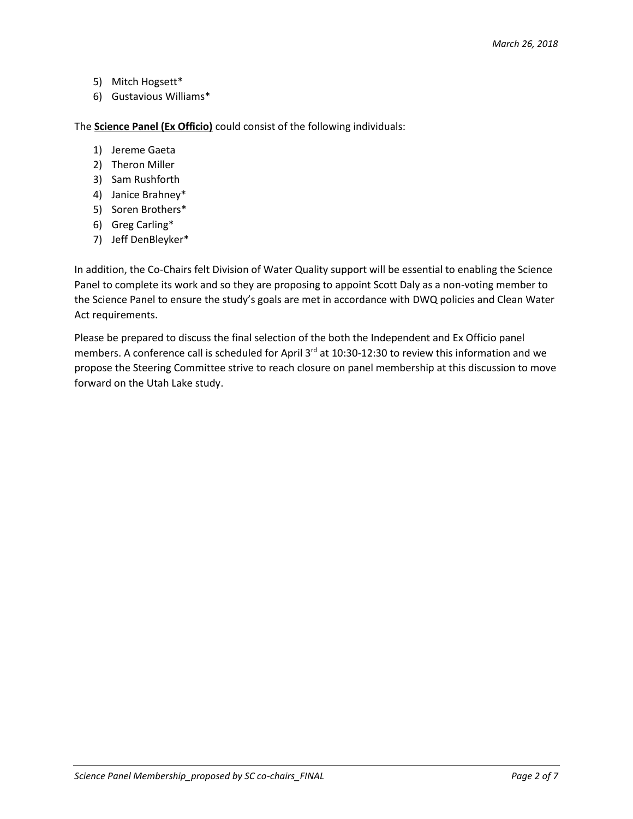- 5) Mitch Hogsett\*
- 6) Gustavious Williams\*

The **Science Panel (Ex Officio)** could consist of the following individuals:

- 1) Jereme Gaeta
- 2) Theron Miller
- 3) Sam Rushforth
- 4) Janice Brahney\*
- 5) Soren Brothers\*
- 6) Greg Carling\*
- 7) Jeff DenBleyker\*

In addition, the Co-Chairs felt Division of Water Quality support will be essential to enabling the Science Panel to complete its work and so they are proposing to appoint Scott Daly as a non-voting member to the Science Panel to ensure the study's goals are met in accordance with DWQ policies and Clean Water Act requirements.

Please be prepared to discuss the final selection of the both the Independent and Ex Officio panel members. A conference call is scheduled for April 3<sup>rd</sup> at 10:30-12:30 to review this information and we propose the Steering Committee strive to reach closure on panel membership at this discussion to move forward on the Utah Lake study.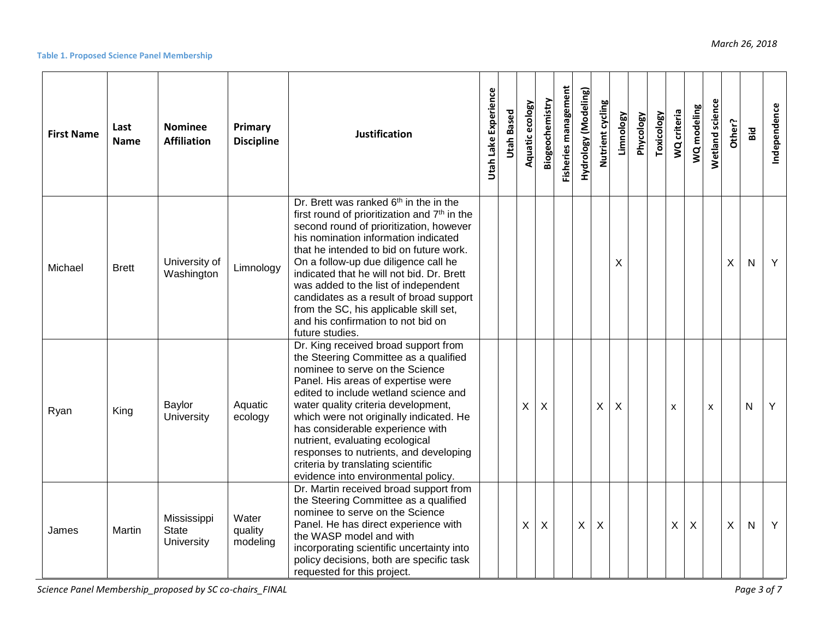#### **Table 1. Proposed Science Panel Membership**

| <b>First Name</b> | Last<br><b>Name</b> | <b>Nominee</b><br><b>Affiliation</b>      | Primary<br><b>Discipline</b> | Justification                                                                                                                                                                                                                                                                                                                                                                                                                                                                                                           | Utah Lake Experience | <b>Utah Based</b> | Aquatic ecology | Biogeochemistry | <b>Fisheries management</b> | Hydrology (Modeling) | Nutrient cycling | Limnology | <b>Phycology</b> | <b>Toxicology</b> | WQ criteria | WQ modeling | Wetland science | Other?       | Bid          | Independence |
|-------------------|---------------------|-------------------------------------------|------------------------------|-------------------------------------------------------------------------------------------------------------------------------------------------------------------------------------------------------------------------------------------------------------------------------------------------------------------------------------------------------------------------------------------------------------------------------------------------------------------------------------------------------------------------|----------------------|-------------------|-----------------|-----------------|-----------------------------|----------------------|------------------|-----------|------------------|-------------------|-------------|-------------|-----------------|--------------|--------------|--------------|
| Michael           | <b>Brett</b>        | University of<br>Washington               | Limnology                    | Dr. Brett was ranked 6 <sup>th</sup> in the in the<br>first round of prioritization and 7 <sup>th</sup> in the<br>second round of prioritization, however<br>his nomination information indicated<br>that he intended to bid on future work.<br>On a follow-up due diligence call he<br>indicated that he will not bid. Dr. Brett<br>was added to the list of independent<br>candidates as a result of broad support<br>from the SC, his applicable skill set,<br>and his confirmation to not bid on<br>future studies. |                      |                   |                 |                 |                             |                      |                  | X         |                  |                   |             |             |                 | X            | $\mathsf{N}$ | Y            |
| Ryan              | King                | Baylor<br>University                      | Aquatic<br>ecology           | Dr. King received broad support from<br>the Steering Committee as a qualified<br>nominee to serve on the Science<br>Panel. His areas of expertise were<br>edited to include wetland science and<br>water quality criteria development,<br>which were not originally indicated. He<br>has considerable experience with<br>nutrient, evaluating ecological<br>responses to nutrients, and developing<br>criteria by translating scientific<br>evidence into environmental policy.                                         |                      |                   | X               | X               |                             |                      | X                | X         |                  |                   | X           |             | $\mathsf{x}$    |              | $\mathsf{N}$ | Y            |
| James             | Martin              | Mississippi<br><b>State</b><br>University | Water<br>quality<br>modeling | Dr. Martin received broad support from<br>the Steering Committee as a qualified<br>nominee to serve on the Science<br>Panel. He has direct experience with<br>the WASP model and with<br>incorporating scientific uncertainty into<br>policy decisions, both are specific task<br>requested for this project.                                                                                                                                                                                                           |                      |                   | X               | X               |                             | X                    | X                |           |                  |                   | X           | $\sf X$     |                 | $\mathsf{X}$ | $\mathsf{N}$ | Y            |

*Science Panel Membership\_proposed by SC co-chairs\_FINAL Page 3 of 7*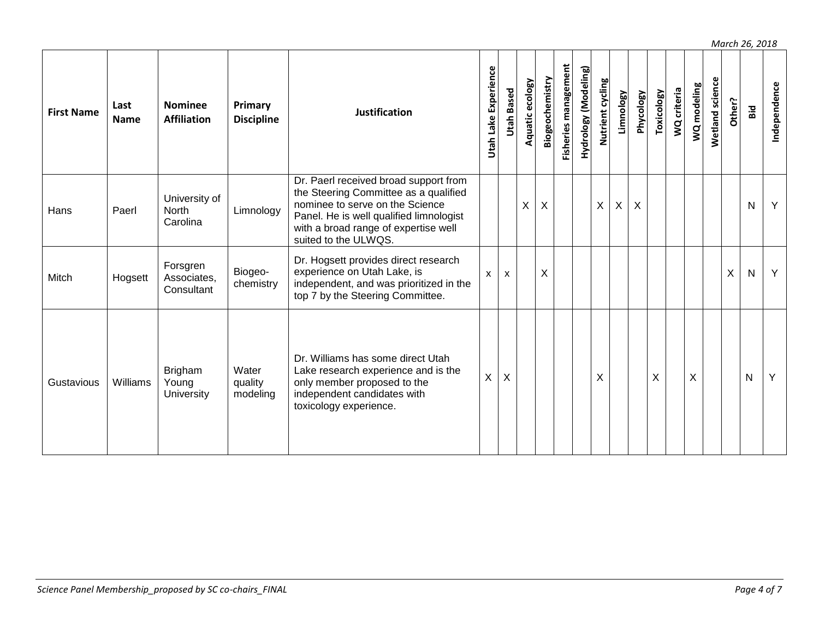Fisheries management Utah Lake Experience **Fisheries management Hydrology (Modeling) Hydrology (Modeling) Utah Lake Experience Biogeochemistry** Nutrient cycling **Wetland science Aquatic ecology Biogeochemistry Wetland science Aquatic ecology Nutrient cycling WQ modeling Independence Utah Based Toxicology WQ criteria Phycology Limnology Other? Primary First Name Last Nominee Bid Discipline Justification Name Affiliation** Dr. Paerl received broad support from the Steering Committee as a qualified University of nominee to serve on the Science X X X X X N Y Hans Paerl **North** Limnology Panel. He is well qualified limnologist Carolina with a broad range of expertise well suited to the ULWQS. Dr. Hogsett provides direct research Forsgren experience on Utah Lake, is Biogeox x X X N Y Associates, Mitch | Hogsett chemistry independent, and was prioritized in the **Consultant** top 7 by the Steering Committee. Dr. Williams has some direct Utah Brigham **Water** Lake research experience and is the X X X X X N YGustavious Williams Young quality only member proposed to the independent candidates with **University** modeling toxicology experience.

*March 26, 2018*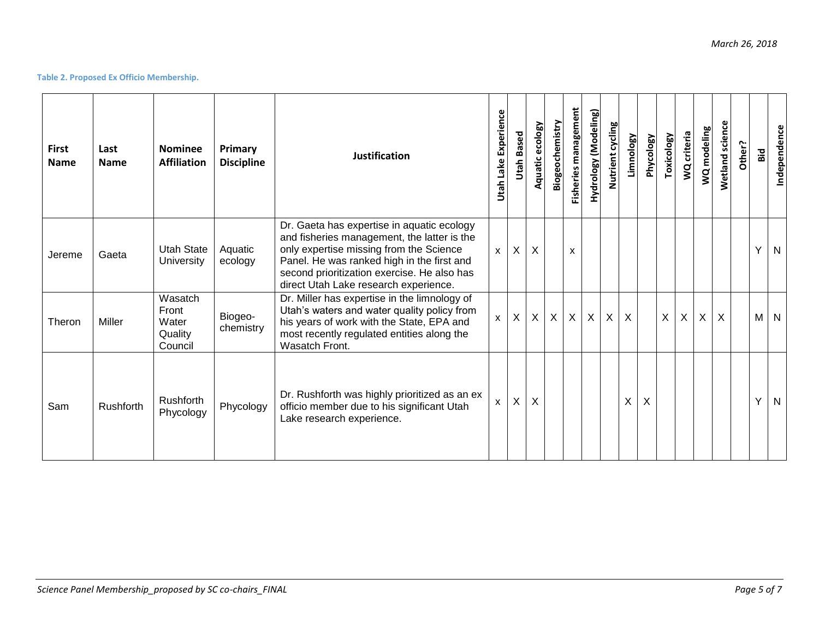## **Table 2. Proposed Ex Officio Membership.**

| <b>First</b><br><b>Name</b> | Last<br><b>Name</b> | <b>Nominee</b><br><b>Affiliation</b>            | Primary<br><b>Discipline</b> | <b>Justification</b>                                                                                                                                                                                                                                                       | Utah Lake Experience | Based<br>Utah    | Aquatic ecology | Biogeochemistry | <b>Fisheries management</b> | Hydrology (Modeling) | Nutrient cycling          | Limnology | Phycology | Toxicology | criteria<br>$\overline{a}$ | WQ modeling  | <b>Wetland science</b> | Other? | Bid | Independence            |
|-----------------------------|---------------------|-------------------------------------------------|------------------------------|----------------------------------------------------------------------------------------------------------------------------------------------------------------------------------------------------------------------------------------------------------------------------|----------------------|------------------|-----------------|-----------------|-----------------------------|----------------------|---------------------------|-----------|-----------|------------|----------------------------|--------------|------------------------|--------|-----|-------------------------|
| Jereme                      | Gaeta               | Utah State<br>University                        | Aquatic<br>ecology           | Dr. Gaeta has expertise in aquatic ecology<br>and fisheries management, the latter is the<br>only expertise missing from the Science<br>Panel. He was ranked high in the first and<br>second prioritization exercise. He also has<br>direct Utah Lake research experience. | $\mathsf{x}$         | X                | X               |                 | X                           |                      |                           |           |           |            |                            |              |                        |        | Y   | N                       |
| Theron                      | Miller              | Wasatch<br>Front<br>Water<br>Quality<br>Council | Biogeo-<br>chemistry         | Dr. Miller has expertise in the limnology of<br>Utah's waters and water quality policy from<br>his years of work with the State, EPA and<br>most recently regulated entities along the<br>Wasatch Front.                                                                   | $\mathsf{x}$         | $\boldsymbol{X}$ | X               | $\mathsf{X}$    | X                           | $\sf X$              | $\boldsymbol{\mathsf{X}}$ | X         |           | X          | X                          | $\mathsf{X}$ | $\sf X$                |        | M   | $\overline{\mathsf{N}}$ |
| Sam                         | Rushforth           | Rushforth<br>Phycology                          | Phycology                    | Dr. Rushforth was highly prioritized as an ex<br>officio member due to his significant Utah<br>Lake research experience.                                                                                                                                                   | X                    | X                | X               |                 |                             |                      |                           | X         | X         |            |                            |              |                        |        | Y   | N                       |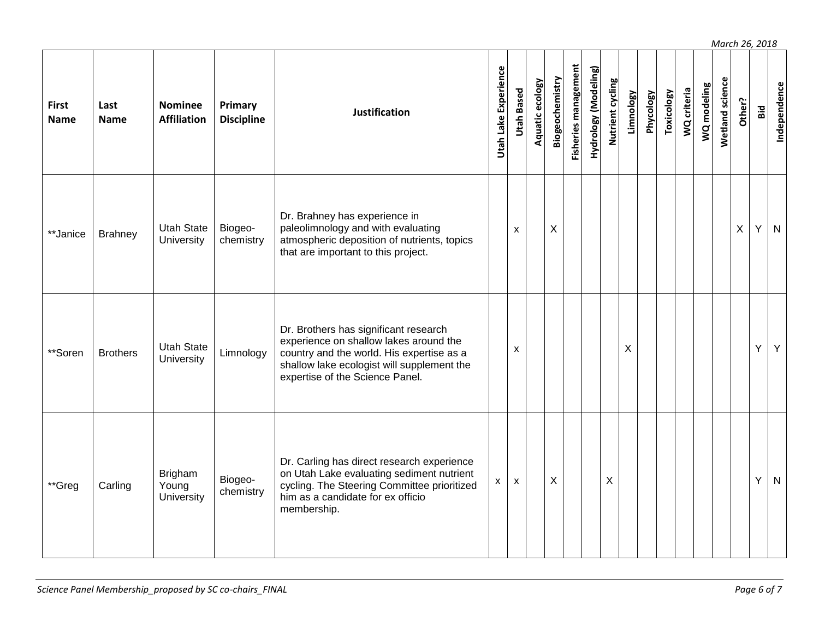Fisheries management **Utah Lake Experience Fisheries management** Hydrology (Modeling) **Hydrology (Modeling) Utah Lake Experience Biogeochemistry Wetland science** Aquatic ecology **Biogeochemistry Nutrient cycling Wetland science Aquatic ecology Nutrient cycling WQ modeling Independence Utah Based Limnology WQ criteria Toxicology Phycology Other? First Last Nominee Primary Bid Discipline Discipline Justification Name Name Affiliation** Dr. Brahney has experience in paleolimnology and with evaluating \*\*Janice Brahney Utah State Biogeox X X Y N **University** chemistry atmospheric deposition of nutrients, topics that are important to this project. Dr. Brothers has significant research experience on shallow lakes around the \*\*Soren Brothers Utah State x X Y Y Limnology country and the world. His expertise as a shallow lake ecologist will supplement the expertise of the Science Panel. Dr. Carling has direct research experience Brigham on Utah Lake evaluating sediment nutrient Biogeox x X X Y N\*\*Greg | Carling Young cycling. The Steering Committee prioritized chemistry **University** him as a candidate for ex officio membership.

*March 26, 2018*